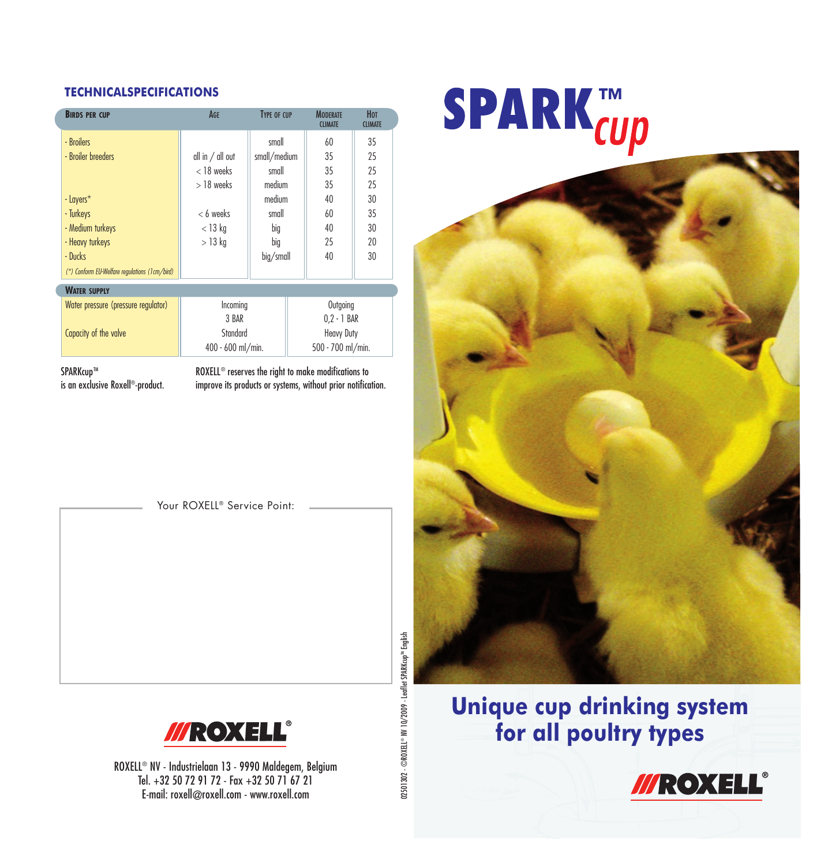#### **TECHNICALSPECIFICATIONS**

| <b>BIRDS PER CUP</b>                          | AGE                | <b>TYPE OF CUP</b> | <b>MODERATE</b><br><b>CLIMATE</b> | Нот<br><b>CLIMATE</b> |
|-----------------------------------------------|--------------------|--------------------|-----------------------------------|-----------------------|
| - Broilers                                    |                    | small              | 60                                | 35                    |
| - Broiler breeders                            | all in $/$ all out | small/medium       | 35                                | 25                    |
|                                               | $<$ 18 weeks       | small              | 35                                | 25                    |
|                                               | $>$ 18 weeks       | medium             | 35                                | 25                    |
| - Layers*                                     |                    | medium             | 40                                | 30                    |
| - Turkeys                                     | $< 6$ weeks        | small              | 60                                | 35                    |
| - Medium turkeys                              | $<$ 13 kg          | big                | 40                                | 30                    |
| - Heavy turkeys                               | $>13$ kg           | big                | 25                                | 20                    |
| - Ducks                                       |                    | big/small          | 40                                | 30                    |
| (*) Conform EU-Welfare regulations (1cm/bird) |                    |                    |                                   |                       |
| <b>WATER SUPPLY</b>                           |                    |                    |                                   |                       |
| Water pressure (pressure regulator)           | Incoming           |                    | Outgoing                          |                       |
|                                               | 3 BAR              |                    | $0.2 - 1$ BAR                     |                       |
| Capacity of the valve                         | Standard           |                    | Heavy Duty                        |                       |
|                                               | 400 - 600 ml/min.  |                    | 500 - 700 ml/min.                 |                       |

SPARKcup™ is an exclusive Roxell®-product. ROXELL® reserves the right to make modifications to improve its products or systems, without prior notification.

Your ROXELL® Service Point:



ROXELL® NV - Industrielaan 13 - 9990 Maldegem, Belgium Tel. +32 50 72 91 72 - Fax +32 50 71 67 21 E-mail: roxell@roxell.com - www.roxell.com

**SPARK**<sup>TM</sup>



#### **Unique cup drinking system for all poultry types**



02501302 - ©ROXELL® NV 10/2009 - Leaflet SPARKcup<sup>nu</sup> English 02501302 - ©ROXELL® NV 10/2009 - Leaflet SPARKcupTM English